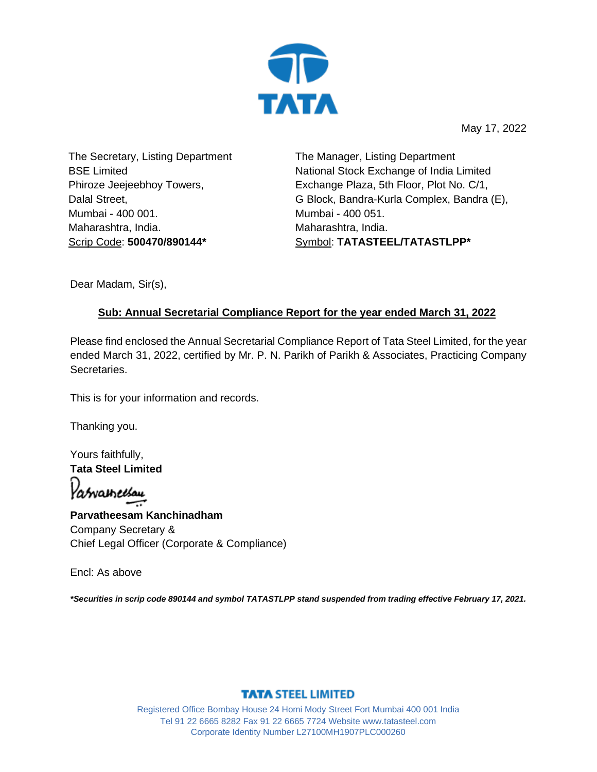

May 17, 2022

The Secretary, Listing Department BSE Limited Phiroze Jeejeebhoy Towers, Dalal Street, Mumbai - 400 001. Maharashtra, India. Scrip Code: **500470/890144\***

The Manager, Listing Department National Stock Exchange of India Limited Exchange Plaza, 5th Floor, Plot No. C/1, G Block, Bandra-Kurla Complex, Bandra (E), Mumbai - 400 051. Maharashtra, India. Symbol: **TATASTEEL/TATASTLPP\***

Dear Madam, Sir(s),

## **Sub: Annual Secretarial Compliance Report for the year ended March 31, 2022**

Please find enclosed the Annual Secretarial Compliance Report of Tata Steel Limited, for the year ended March 31, 2022, certified by Mr. P. N. Parikh of Parikh & Associates, Practicing Company Secretaries.

This is for your information and records.

Thanking you.

Yours faithfully, **Tata Steel Limited**

Patvameesau

**Parvatheesam Kanchinadham** Company Secretary & Chief Legal Officer (Corporate & Compliance)

Encl: As above

*\*Securities in scrip code 890144 and symbol TATASTLPP stand suspended from trading effective February 17, 2021.*

## **TATA STEEL LIMITED**

Registered Office Bombay House 24 Homi Mody Street Fort Mumbai 400 001 India Tel 91 22 6665 8282 Fax 91 22 6665 7724 Website www.tatasteel.com Corporate Identity Number L27100MH1907PLC000260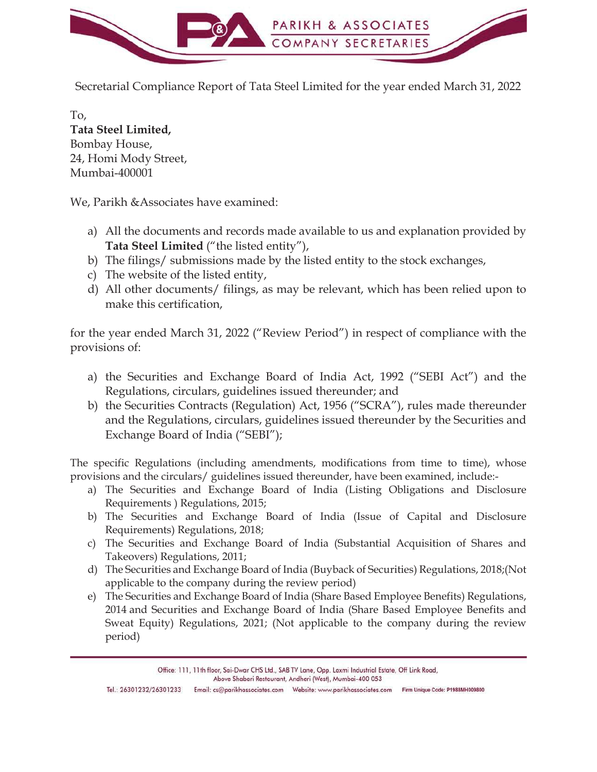

Secretarial Compliance Report of Tata Steel Limited for the year ended March 31, 2022

To, **Tata Steel Limited,**  Bombay House, 24, Homi Mody Street, Mumbai-400001

We, Parikh &Associates have examined:

- a) All the documents and records made available to us and explanation provided by **Tata Steel Limited** ("the listed entity"),
- b) The filings/ submissions made by the listed entity to the stock exchanges,
- c) The website of the listed entity,
- d) All other documents/ filings, as may be relevant, which has been relied upon to make this certification,

for the year ended March 31, 2022 ("Review Period") in respect of compliance with the provisions of:

- a) the Securities and Exchange Board of India Act, 1992 ("SEBI Act") and the Regulations, circulars, guidelines issued thereunder; and
- b) the Securities Contracts (Regulation) Act, 1956 ("SCRA"), rules made thereunder and the Regulations, circulars, guidelines issued thereunder by the Securities and Exchange Board of India ("SEBI");

The specific Regulations (including amendments, modifications from time to time), whose provisions and the circulars/ guidelines issued thereunder, have been examined, include:-

- a) The Securities and Exchange Board of India (Listing Obligations and Disclosure Requirements ) Regulations, 2015;
- b) The Securities and Exchange Board of India (Issue of Capital and Disclosure Requirements) Regulations, 2018;
- c) The Securities and Exchange Board of India (Substantial Acquisition of Shares and Takeovers) Regulations, 2011;
- d) The Securities and Exchange Board of India (Buyback of Securities) Regulations, 2018;(Not applicable to the company during the review period)
- e) The Securities and Exchange Board of India (Share Based Employee Benefits) Regulations, 2014 and Securities and Exchange Board of India (Share Based Employee Benefits and Sweat Equity) Regulations, 2021; (Not applicable to the company during the review period)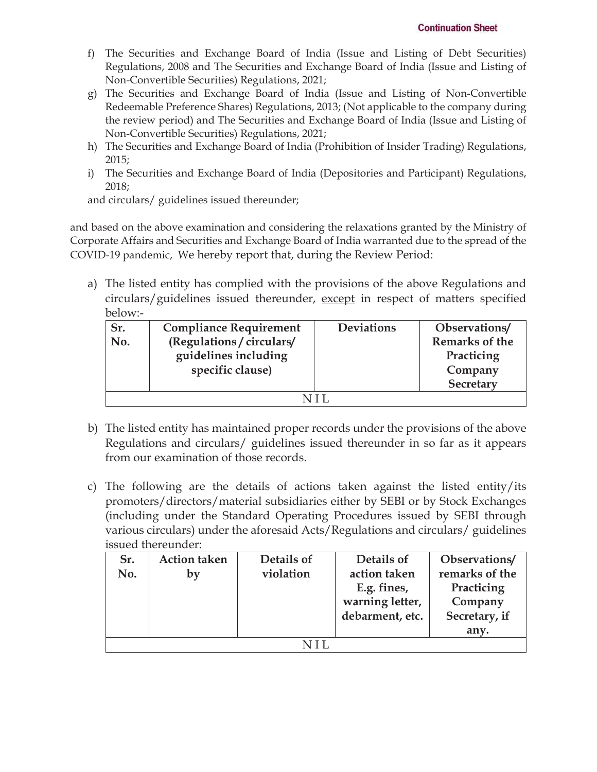- f) The Securities and Exchange Board of India (Issue and Listing of Debt Securities) Regulations, 2008 and The Securities and Exchange Board of India (Issue and Listing of Non-Convertible Securities) Regulations, 2021;
- g) The Securities and Exchange Board of India (Issue and Listing of Non-Convertible Redeemable Preference Shares) Regulations, 2013; (Not applicable to the company during the review period) and The Securities and Exchange Board of India (Issue and Listing of Non-Convertible Securities) Regulations, 2021;
- h) The Securities and Exchange Board of India (Prohibition of Insider Trading) Regulations, 2015;
- i) The Securities and Exchange Board of India (Depositories and Participant) Regulations, 2018;

and circulars/ guidelines issued thereunder;

and based on the above examination and considering the relaxations granted by the Ministry of Corporate Affairs and Securities and Exchange Board of India warranted due to the spread of the COVID-19 pandemic, We hereby report that, during the Review Period:

a) The listed entity has complied with the provisions of the above Regulations and circulars/guidelines issued thereunder, except in respect of matters specified below:-

| Sr. | <b>Compliance Requirement</b> | <b>Deviations</b> | Observations/  |  |  |
|-----|-------------------------------|-------------------|----------------|--|--|
| No. | (Regulations / circulars/     |                   | Remarks of the |  |  |
|     | guidelines including          |                   | Practicing     |  |  |
|     | specific clause)              |                   | Company        |  |  |
|     |                               |                   | Secretary      |  |  |
| NH  |                               |                   |                |  |  |

- b) The listed entity has maintained proper records under the provisions of the above Regulations and circulars/ guidelines issued thereunder in so far as it appears from our examination of those records.
- c) The following are the details of actions taken against the listed entity/its promoters/directors/material subsidiaries either by SEBI or by Stock Exchanges (including under the Standard Operating Procedures issued by SEBI through various circulars) under the aforesaid Acts/Regulations and circulars/ guidelines issued thereunder:

| Sr. | <b>Action taken</b> | Details of | Details of      | Observations/  |  |  |
|-----|---------------------|------------|-----------------|----------------|--|--|
| No. | by                  | violation  | action taken    | remarks of the |  |  |
|     |                     |            | E.g. fines,     | Practicing     |  |  |
|     |                     |            | warning letter, | Company        |  |  |
|     |                     |            | debarment, etc. | Secretary, if  |  |  |
|     |                     |            |                 | any.           |  |  |
| NIL |                     |            |                 |                |  |  |